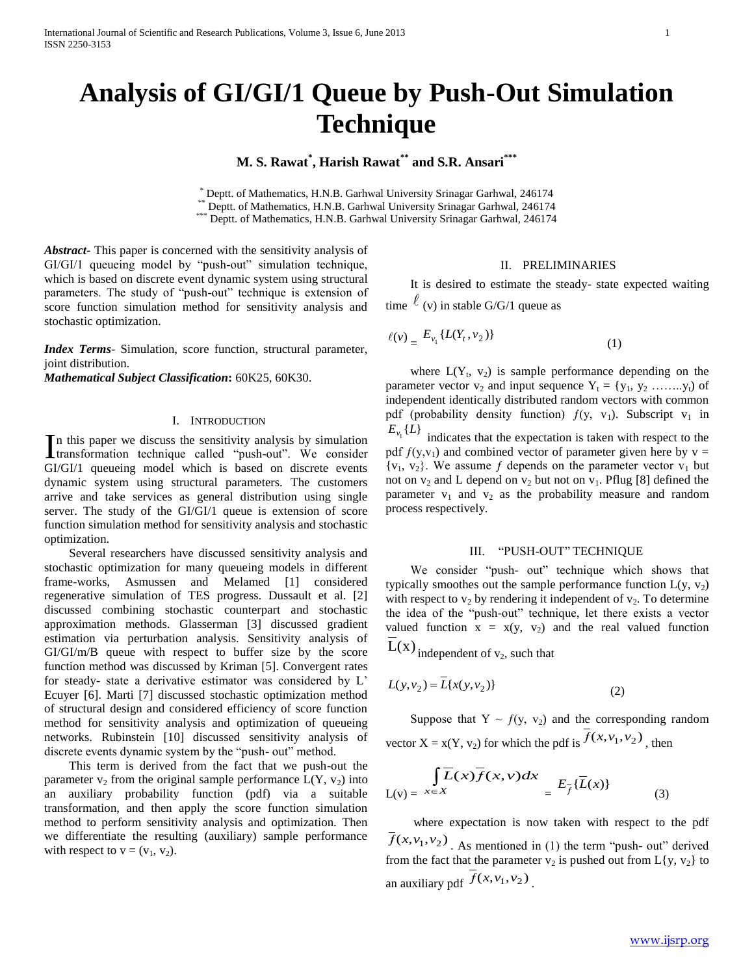# **Analysis of GI/GI/1 Queue by Push-Out Simulation Technique**

# **M. S. Rawat\* , Harish Rawat\*\* and S.R. Ansari\*\*\***

\* Deptt. of Mathematics, H.N.B. Garhwal University Srinagar Garhwal, 246174

Deptt. of Mathematics, H.N.B. Garhwal University Srinagar Garhwal, 246174

\*\*\* Deptt. of Mathematics, H.N.B. Garhwal University Srinagar Garhwal, 246174

*Abstract***-** This paper is concerned with the sensitivity analysis of GI/GI/1 queueing model by "push-out" simulation technique, which is based on discrete event dynamic system using structural parameters. The study of "push-out" technique is extension of score function simulation method for sensitivity analysis and stochastic optimization.

*Index Terms*- Simulation, score function, structural parameter, joint distribution.

*Mathematical Subject Classification***:** 60K25, 60K30.

# I. INTRODUCTION

In this paper we discuss the sensitivity analysis by simulation<br>transformation technique called "push-out". We consider transformation technique called "push-out". We consider GI/GI/1 queueing model which is based on discrete events dynamic system using structural parameters. The customers arrive and take services as general distribution using single server. The study of the GI/GI/1 queue is extension of score function simulation method for sensitivity analysis and stochastic optimization.

 Several researchers have discussed sensitivity analysis and stochastic optimization for many queueing models in different frame-works, Asmussen and Melamed [1] considered regenerative simulation of TES progress. Dussault et al. [2] discussed combining stochastic counterpart and stochastic approximation methods. Glasserman [3] discussed gradient estimation via perturbation analysis. Sensitivity analysis of GI/GI/m/B queue with respect to buffer size by the score function method was discussed by Kriman [5]. Convergent rates for steady- state a derivative estimator was considered by L' Ecuyer [6]. Marti [7] discussed stochastic optimization method of structural design and considered efficiency of score function method for sensitivity analysis and optimization of queueing networks. Rubinstein [10] discussed sensitivity analysis of discrete events dynamic system by the "push- out" method.

 This term is derived from the fact that we push-out the parameter  $v_2$  from the original sample performance  $L(Y, v_2)$  into an auxiliary probability function (pdf) via a suitable transformation, and then apply the score function simulation method to perform sensitivity analysis and optimization. Then we differentiate the resulting (auxiliary) sample performance with respect to  $v = (v_1, v_2)$ .

### II. PRELIMINARIES

 It is desired to estimate the steady- state expected waiting time  $\ell$  (v) in stable G/G/1 queue as

$$
\ell(v) = E_{v_1} \{ L(Y_t, v_2) \}
$$
 (1)

where  $L(Y_t, v_2)$  is sample performance depending on the parameter vector  $v_2$  and input sequence  $Y_t = \{y_1, y_2, \ldots, y_t\}$  of independent identically distributed random vectors with common pdf (probability density function)  $f(y, v_1)$ . Subscript  $v_1$  in  $E_{\nu_1} \{ L \}$  indicates that the expectation is taken with respect to the

pdf  $f(y, y_1)$  and combined vector of parameter given here by  $y =$  ${v_1, v_2}$ . We assume f depends on the parameter vector  $v_1$  but not on  $v_2$  and L depend on  $v_2$  but not on  $v_1$ . Pflug [8] defined the parameter  $v_1$  and  $v_2$  as the probability measure and random process respectively.

#### III. "PUSH-OUT" TECHNIQUE

 We consider "push- out" technique which shows that typically smoothes out the sample performance function  $L(y, y_2)$ with respect to  $v_2$  by rendering it independent of  $v_2$ . To determine the idea of the "push-out" technique, let there exists a vector valued function  $x = x(y, y_2)$  and the real valued function

 $L(x)$  independent of  $v_2$ , such that

$$
L(y, v_2) = \overline{L}\{x(y, v_2)\}\tag{2}
$$

Suppose that  $Y \sim f(y, y_2)$  and the corresponding random vector  $X = x(Y, v_2)$  for which the pdf is  $\overline{f}(x, v_1, v_2)$ , then

$$
\overline{\mathcal{L}(x)} = \overline{x \in X} \overline{L(x)} \overline{f}(x, v) dx = E_{\overline{f}} \{ \overline{L}(x) \}
$$
(3)

 where expectation is now taken with respect to the pdf  $\overline{f}(x, v_1, v_2)$ . As mentioned in (1) the term "push- out" derived from the fact that the parameter  $v_2$  is pushed out from  $L\{y, v_2\}$  to an auxiliary pdf  $\overline{f}(x, v_1, v_2)$ .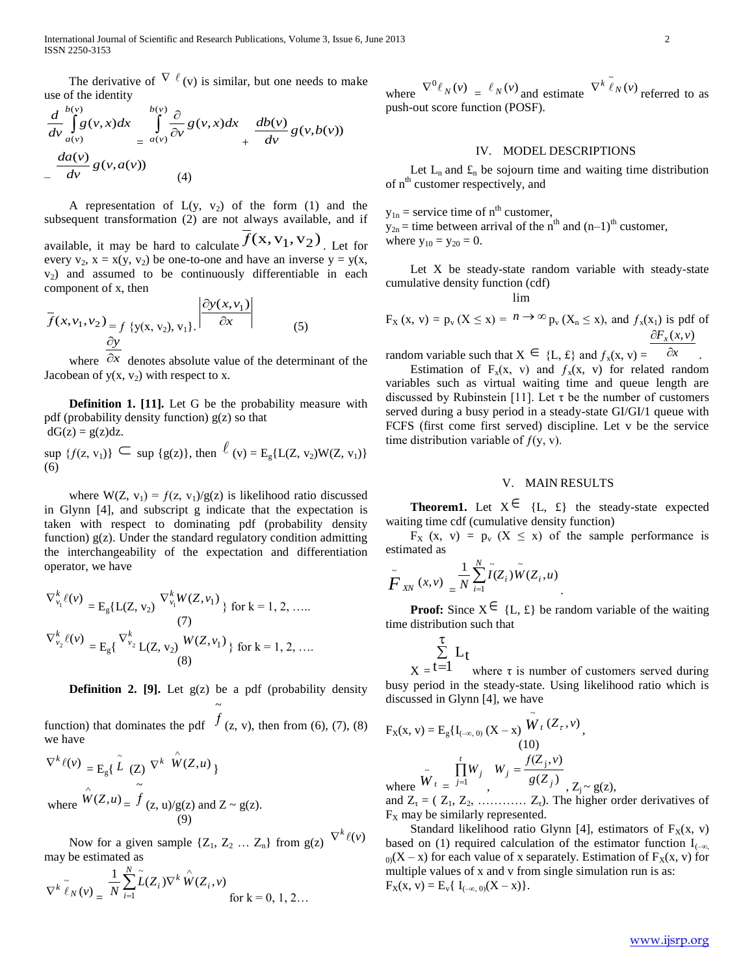The derivative of  $\nabla \ell(v)$  is similar, but one needs to make use of the identity

$$
\frac{d}{dv}\int_{a(v)}^{b(v)} g(v,x)dx \int_{=a(v)}^{b(v)} \frac{\partial}{\partial v}g(v,x)dx + \frac{db(v)}{dv}g(v,b(v))
$$
\n
$$
-\frac{da(v)}{dv}g(v,a(v)) \qquad (4)
$$

A representation of  $L(y, y_2)$  of the form (1) and the subsequent transformation (2) are not always available, and if available, it may be hard to calculate  $\overline{f}(x, v_1, v_2)$ . Let for

every  $v_2$ ,  $x = x(y, v_2)$  be one-to-one and have an inverse  $y = y(x, y_2)$  $v_2$ ) and assumed to be continuously differentiable in each component of x, then

$$
\overline{f}(x, v_1, v_2) = f \{y(x, v_2), v_1\}.
$$
\n
$$
\left| \frac{\partial y(x, v_1)}{\partial x} \right|
$$
\n(5)

where  $\partial x$  denotes absolute value of the determinant of the Jacobean of  $y(x, y_2)$  with respect to x.

 **Definition 1. [11].** Let G be the probability measure with pdf (probability density function)  $g(z)$  so that  $dG(z) = g(z)dz$ .

 $\sup \{f(z, v_1)\} \subseteq \sup \{g(z)\},\$ then  $\ell(v) = E_g\{L(Z, v_2)W(Z, v_1)\}$ (6)

where  $W(Z, v_1) = f(z, v_1)/g(z)$  is likelihood ratio discussed in Glynn [4], and subscript g indicate that the expectation is taken with respect to dominating pdf (probability density function)  $g(z)$ . Under the standard regulatory condition admitting the interchangeability of the expectation and differentiation operator, we have

$$
\nabla_{v_1}^k \ell(v) = E_g\{L(Z, v_2) \xrightarrow{\nabla_{v_1}^k W(Z, v_1)} \text{for } k = 1, 2, \dots
$$
\n
$$
\nabla_{v_2}^k \ell(v) = E_g\{\nabla_{v_2}^k L(Z, v_2) \xrightarrow{W(Z, v_1)} \text{for } k = 1, 2, \dots
$$
\n(8)

**Definition 2. [9].** Let g(z) be a pdf (probability density ~

function) that dominates the pdf  $f$  (z, v), then from (6), (7), (8) we have

$$
\nabla^{k} \ell(v) = E_{g} \{ \tilde{L} (Z) \nabla^{k} \hat{W}(Z, u) \}
$$
  
where 
$$
\hat{W}(Z, u) = \tilde{f} (z, u) / g(z) \text{ and } Z \sim g(z).
$$
  
(9)

Now for a given sample  $\{Z_1, Z_2, \dots, Z_n\}$  from  $g(z)$ (*v*)  $\nabla^k \ell$ may be estimated as

$$
\nabla^{k} \tilde{\ell}_{N}(v) = \frac{1}{N} \sum_{i=1}^{N} \tilde{L}(Z_{i}) \nabla^{k} \hat{W}(Z_{i}, v) \quad \text{for k = 0, 1, 2...}
$$

where  $\nabla^0 \ell_N(v) = \ell_N(v)$  and estimate  $\nabla^k \ell_N(v)$  referred to as push-out score function (POSF).

# IV. MODEL DESCRIPTIONS

Let  $L_n$  and  $\mathfrak{L}_n$  be sojourn time and waiting time distribution of n<sup>th</sup> customer respectively, and

 $y_{1n}$  = service time of  $n<sup>th</sup>$  customer,  $y_{2n}$  = time between arrival of the n<sup>th</sup> and  $(n-1)$ <sup>th</sup> customer, where  $y_{10} = y_{20} = 0$ .

 Let X be steady-state random variable with steady-state cumulative density function (cdf)

lim

$$
F_X(x, v) = p_v(X \le x) = n \rightarrow \infty
$$
  $p_v(X_n \le x)$ , and  $f_x(x_1)$  is pdf of  $\partial F_x(x, v)$ 

random variable such that  $X \in \{L, \pounds\}$  and  $f_x(x, v) = \overline{\partial x}$ .

Estimation of  $F_x(x, v)$  and  $f_x(x, v)$  for related random variables such as virtual waiting time and queue length are discussed by Rubinstein [11]. Let  $\tau$  be the number of customers served during a busy period in a steady-state GI/GI/1 queue with FCFS (first come first served) discipline. Let v be the service time distribution variable of  $f(y, y)$ .

## V. MAIN RESULTS

**Theorem1.** Let  $X^{\in}$  {L, £} the steady-state expected waiting time cdf (cumulative density function)

 $F_X$  (x, v) =  $p_y$  (X  $\leq$  x) of the sample performance is estimated as

$$
\tilde{F}_{XN}(x,v) = \frac{1}{N} \sum_{i=1}^{N} \tilde{I}(Z_i) \tilde{W}(Z_i, u).
$$

**Proof:** Since  $X \in \{L, \pounds\}$  be random variable of the waiting time distribution such that

$$
\sum_{t=1}^{\tau} L_t
$$

 $X = t=1$ where  $\tau$  is number of customers served during busy period in the steady-state. Using likelihood ratio which is discussed in Glynn [4], we have

$$
F_X(x, v) = E_g\{I_{(-\infty, 0)}(X - x) \overline{\tilde{W}}_t (Z_\tau, v),
$$
  
(10)  
where  $\overline{\tilde{W}}_t = \frac{\prod_{j=1}^t W_j}{\prod_{j=1}^t W_j}$ ,  $W_j = \frac{f(Z_j, v)}{g(Z_j)}$ ,  $Z_j \sim g(z)$ ,

and  $Z_{\tau} = (Z_1, Z_2, \ldots, Z_{\tau})$ . The higher order derivatives of  $F<sub>x</sub>$  may be similarly represented.

Standard likelihood ratio Glynn [4], estimators of  $F_X(x, v)$ based on (1) required calculation of the estimator function  $I_{(-\infty)}$  $<sub>0</sub>(X - x)$  for each value of x separately. Estimation of F<sub>x</sub>(x, v) for</sub> multiple values of x and v from single simulation run is as:  $F_X(x, v) = E_v\{I_{(-\infty, 0)}(X - x)\}.$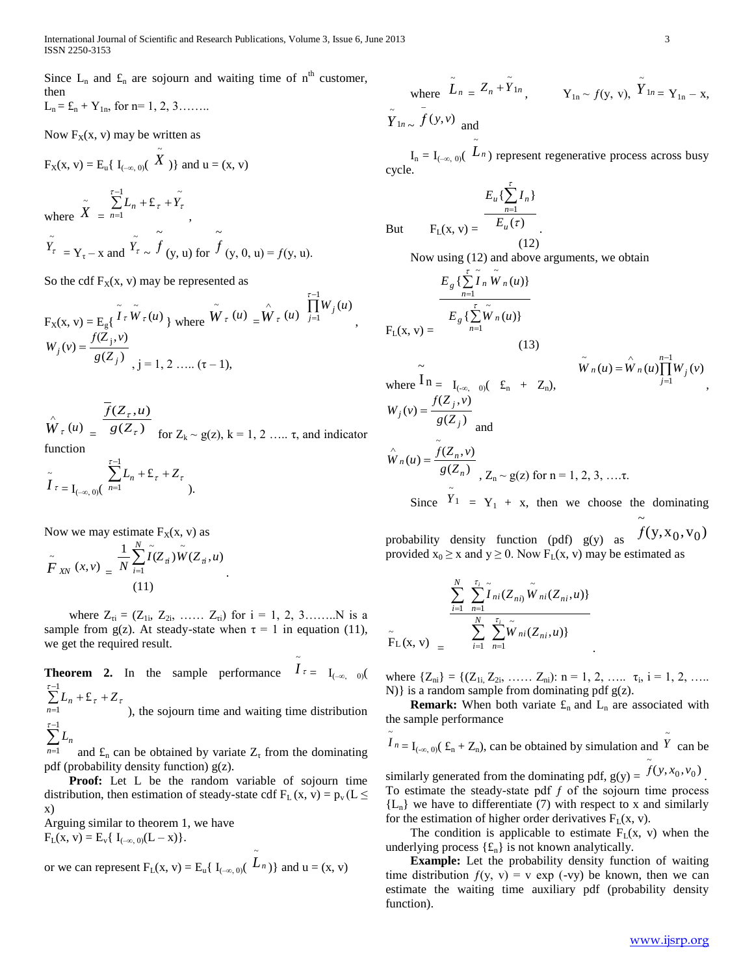Since  $L_n$  and  $\mathfrak{L}_n$  are sojourn and waiting time of  $n^{\text{th}}$  customer, then

$$
L_n = \pounds_n + Y_{1n}
$$
, for n= 1, 2, 3........

Now  $F_X(x, v)$  may be written as

$$
F_X(x,\,v)=E_u\{\ I_{(-\infty,\,0)}(\stackrel{\sim}{X})\} \text{ and } u=(x,\,v)
$$

where  $\tilde{X}$ =  $\sum^{t-1}$ =  $\sum_{n=1}^{1} L_n + \pounds_{\tau} +$ 1  $\sum_{n=1}^{\tau-1} L_n + \mathbf{E}_{\tau} + \tilde{Y}_{\tau}$  $\sum_{n=1}$  $L_n$  + £  $\tau$  +  $Y_\tau$ ,  $\tilde{Y}_{\tau} = Y_{\tau} - x$  and  $\sum_{\tau}$   $\sim$  $\ddot{\phantom{0}}$  $f_{(\mathsf{y}, \mathsf{u})$  for ~  $f(y, 0, u) = f(y, u).$ 

So the cdf  $F_X(x, v)$  may be represented as

$$
F_X(x, v) = E_g\{\begin{bmatrix} \tilde{I} \tau \tilde{W} \tau(u) \\ \tilde{W} \tau(u) \end{bmatrix} \text{ where } \tilde{W} \tau(u) = \hat{W} \tau(u) \begin{bmatrix} \tilde{I}^{-1} \\ \tilde{I} \end{bmatrix} W_j(u) \begin{bmatrix} \tilde{I}^{-1} \\ \tilde{I} \end{bmatrix} W_j(u) = \frac{f(Z_j, v)}{g(Z_j)} \begin{bmatrix} \tilde{I}^{-1} \\ \tilde{I} \end{bmatrix} W_j(u) = \frac{f(Z_j, v)}{g(Z_j)} \begin{bmatrix} \tilde{I}^{-1} \\ \tilde{I} \end{bmatrix} W_j(u) = \frac{f(Z_j, v)}{g(Z_j)} \begin{bmatrix} \tilde{I}^{-1} \\ \tilde{I} \end{bmatrix} W_j(u) = \frac{f(Z_j, v)}{g(Z_j)} \begin{bmatrix} \tilde{I}^{-1} \\ \tilde{I} \end{bmatrix} W_j(u) = \frac{f(Z_j, v)}{g(Z_j)} \begin{bmatrix} \tilde{I}^{-1} \\ \tilde{I} \end{bmatrix} W_j(u) = \frac{f(Z_j, v)}{g(Z_j)} \begin{bmatrix} \tilde{I}^{-1} \\ \tilde{I} \end{bmatrix} W_j(u) = \frac{f(Z_j, v)}{g(Z_j)} \begin{bmatrix} \tilde{I}^{-1} \\ \tilde{I} \end{bmatrix} W_j(u) = \frac{f(Z_j, v)}{g(Z_j)} \begin{bmatrix} \tilde{I}^{-1} \\ \tilde{I} \end{bmatrix} W_j(u) = \frac{f(Z_j, v)}{g(Z_j)} \begin{bmatrix} \tilde{I}^{-1} \\ \tilde{I} \end{bmatrix} W_j(u) = \frac{f(Z_j, v)}{g(Z_j)} \begin{bmatrix} \tilde{I}^{-1} \\ \tilde{I} \end{bmatrix} W_j(u) = \frac{f(Z_j, v)}{g(Z_j)} \begin{bmatrix} \tilde{I}^{-1} \\ \tilde{I} \end{bmatrix} W_j(u) = \frac{f(Z_j, v)}{g(Z_j)} \begin{bmatrix} \tilde{I}^{-1} \\ \tilde{I} \end{bmatrix} W_j(u)
$$

 $W_{\tau}(u)$  $\wedge$  $= g(Z_\tau)$  $\overline{f}(Z_\tau, u)$ τ  $\frac{Q}{g(Z)}$  $Z_{\tau}$ ,  $u$ for  $Z_k \sim g(z)$ ,  $k = 1, 2, \ldots, \tau$ , and indicator function  $\overline{a}$ 1 τ

$$
\widetilde{I}_{\tau} = \sum_{(-\infty, 0)} \sum_{n=1}^{n-1} L_n + \mathcal{L}_{\tau} + Z_{\tau}
$$

Now we may estimate  $F_X(x, v)$  as

$$
\tilde{F}_{X\!N}\left(x,v\right) = \frac{1}{N} \sum_{i=1}^{N} \tilde{I}(Z_{\vec{u}}) \tilde{W}(Z_{\vec{u}},u) \tag{11}
$$

where  $Z_{\tau i} = (Z_{1i}, Z_{2i}, \ldots, Z_{\tau i})$  for  $i = 1, 2, 3, \ldots, N$  is a sample from g(z). At steady-state when  $\tau = 1$  in equation (11), we get the required result.

**Theorem 2.** In the sample performance  $I_{\tau} = I_{(-\infty, 0)}$ ~  $\sum^{t-1}$  $\overline{a}$  $\sum_{n=1}^{1} L_n + \pounds_{\tau} +$ 1  $\sum_{n=1}^{\tau-1} L_n + \pounds$  $\sum_{n=1}$  $L_n$  + £ <sub> $\tau$ </sub> + Z  $\tau$ ), the sojourn time and waiting time distribution  $\tau-1$ 

 $\sum L_n$  $=$ 1 *n* and  $\mathbf{f}_n$  can be obtained by variate  $\mathbf{Z}_\tau$  from the dominating pdf (probability density function) g(z).

 **Proof:** Let L be the random variable of sojourn time distribution, then estimation of steady-state cdf  $F<sub>L</sub>(x, v) = p<sub>v</sub>(L \le$ x)

Arguing similar to theorem 1, we have  $F_L(x, v) = E_v\{I_{(-\infty, 0)}(L - x)\}.$ 

or we can represent 
$$
F_L(x, v) = E_u\{I_{(-\infty, 0)}(\tilde{L}_n)\}\
$$
 and  $u = (x, v)$ 

where 
$$
\tilde{L}_n = Z_n + \tilde{Y}_{1n}
$$
,  $Y_{1n} \sim f(y, v)$ ,  $\tilde{Y}_{1n} = Y_{1n} - x$ ,   
\n $\tilde{Y}_{1n} \sim \tilde{f}(y, v)$  and

 $I_n = I_{(-\infty, 0)}(L_n)$  represent regenerative process across busy cycle.

.

But  $(\tau)$  $\{\sum I_n\}$ 1 τ *u n u n E*  $E_u \{\sum_{n=1}^{\infty} I$ (12)

~

Now using (12) and above arguments, we obtain

τ

$$
E_g\left\{\sum_{n=1}^{\tau} \tilde{I}_n \tilde{W}_n(u)\right\}
$$
  
\n
$$
F_L(x, v) = \frac{E_g\left\{\sum_{n=1}^{\tau} \tilde{W}_n(u)\right\}}{(13)}
$$
  
\nwhere  $\overline{I}_n = I_{(-\infty, 0)}(E_n + Z_n)$ ,  
\n
$$
W_j(v) = \frac{f(Z_j, v)}{g(Z_j)}
$$
 and  
\n
$$
\hat{W}_n(u) = \tilde{f}(Z_n, v)
$$
  
\nSince  $\tilde{Y}_1 = Y_1 + x$ , then we choose the dominating

probability density function (pdf) g(y) as  $f(y, x_0, v_0)$ provided  $x_0 \ge x$  and  $y \ge 0$ . Now  $F_L(x, v)$  may be estimated as

$$
\frac{\sum_{i=1}^{N} \sum_{n=1}^{\tau_i} \tilde{I}_{ni}(Z_{ni}) \tilde{W}_{ni}(Z_{ni}, u)}{\sum_{i=1}^{N} \sum_{n=1}^{\tau_i} \tilde{W}_{ni}(Z_{ni}, u)}
$$

where  $\{Z_{ni}\} = \{ (Z_{1i}, Z_{2i}, \ldots, Z_{ni}) : n = 1, 2, \ldots, \tau_i, i = 1, 2, \ldots \}$ N)} is a random sample from dominating pdf  $g(z)$ .

.

**Remark:** When both variate  $f_n$  and  $L_n$  are associated with the sample performance

$$
\tilde{I}_{n} = I_{(-\infty, 0)}(\mathbf{f}_{n} + \mathbf{Z}_{n})
$$
, can be obtained by simulation and  $\tilde{Y}$  can be  
similarly generated from the dominating pdf,  $g(y) = \tilde{f}(y, x_0, v_0)$ .  
To estimate the steady-state pdf f of the sojourn time process  
{L<sub>n</sub>} we have to differentiate (7) with respect to x and similarly  
for the estimation of higher order derivatives F<sub>L</sub>(x, v).

The condition is applicable to estimate  $F<sub>L</sub>(x, v)$  when the underlying process  $\{f_n\}$  is not known analytically.

 **Example:** Let the probability density function of waiting time distribution  $f(y, y) = v \exp(-vy)$  be known, then we can estimate the waiting time auxiliary pdf (probability density function).